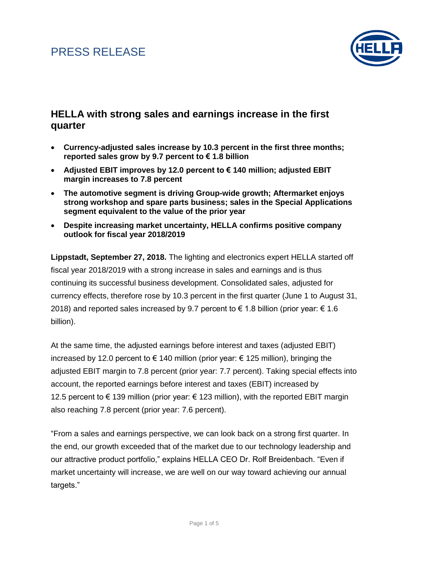

### **HELLA with strong sales and earnings increase in the first quarter**

- **Currency-adjusted sales increase by 10.3 percent in the first three months; reported sales grow by 9.7 percent to € 1.8 billion**
- **Adjusted EBIT improves by 12.0 percent to € 140 million; adjusted EBIT margin increases to 7.8 percent**
- **The automotive segment is driving Group-wide growth; Aftermarket enjoys strong workshop and spare parts business; sales in the Special Applications segment equivalent to the value of the prior year**
- **Despite increasing market uncertainty, HELLA confirms positive company outlook for fiscal year 2018/2019**

**Lippstadt, September 27, 2018.** The lighting and electronics expert HELLA started off fiscal year 2018/2019 with a strong increase in sales and earnings and is thus continuing its successful business development. Consolidated sales, adjusted for currency effects, therefore rose by 10.3 percent in the first quarter (June 1 to August 31, 2018) and reported sales increased by 9.7 percent to  $\epsilon$  1.8 billion (prior year:  $\epsilon$  1.6 billion).

At the same time, the adjusted earnings before interest and taxes (adjusted EBIT) increased by 12.0 percent to € 140 million (prior year: € 125 million), bringing the adjusted EBIT margin to 7.8 percent (prior year: 7.7 percent). Taking special effects into account, the reported earnings before interest and taxes (EBIT) increased by 12.5 percent to € 139 million (prior year:  $∈$  123 million), with the reported EBIT margin also reaching 7.8 percent (prior year: 7.6 percent).

"From a sales and earnings perspective, we can look back on a strong first quarter. In the end, our growth exceeded that of the market due to our technology leadership and our attractive product portfolio," explains HELLA CEO Dr. Rolf Breidenbach. "Even if market uncertainty will increase, we are well on our way toward achieving our annual targets."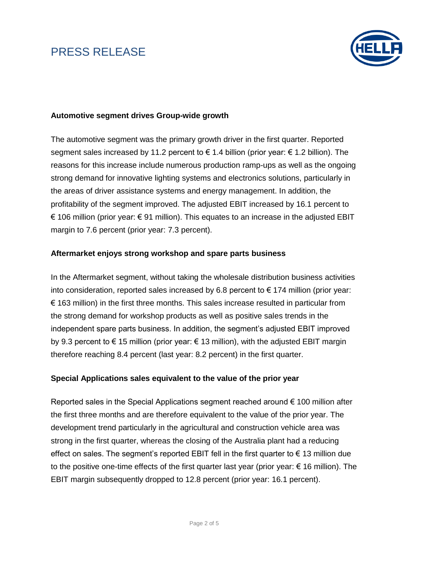

#### **Automotive segment drives Group-wide growth**

The automotive segment was the primary growth driver in the first quarter. Reported segment sales increased by 11.2 percent to  $\epsilon$  1.4 billion (prior year:  $\epsilon$  1.2 billion). The reasons for this increase include numerous production ramp-ups as well as the ongoing strong demand for innovative lighting systems and electronics solutions, particularly in the areas of driver assistance systems and energy management. In addition, the profitability of the segment improved. The adjusted EBIT increased by 16.1 percent to € 106 million (prior year: € 91 million). This equates to an increase in the adjusted EBIT margin to 7.6 percent (prior year: 7.3 percent).

#### **Aftermarket enjoys strong workshop and spare parts business**

In the Aftermarket segment, without taking the wholesale distribution business activities into consideration, reported sales increased by 6.8 percent to  $\epsilon$  174 million (prior year:  $\epsilon$  163 million) in the first three months. This sales increase resulted in particular from the strong demand for workshop products as well as positive sales trends in the independent spare parts business. In addition, the segment's adjusted EBIT improved by 9.3 percent to € 15 million (prior year: € 13 million), with the adjusted EBIT margin therefore reaching 8.4 percent (last year: 8.2 percent) in the first quarter.

#### **Special Applications sales equivalent to the value of the prior year**

Reported sales in the Special Applications segment reached around  $\epsilon$  100 million after the first three months and are therefore equivalent to the value of the prior year. The development trend particularly in the agricultural and construction vehicle area was strong in the first quarter, whereas the closing of the Australia plant had a reducing effect on sales. The segment's reported EBIT fell in the first quarter to  $\epsilon$  13 million due to the positive one-time effects of the first quarter last year (prior year:  $\epsilon$  16 million). The EBIT margin subsequently dropped to 12.8 percent (prior year: 16.1 percent).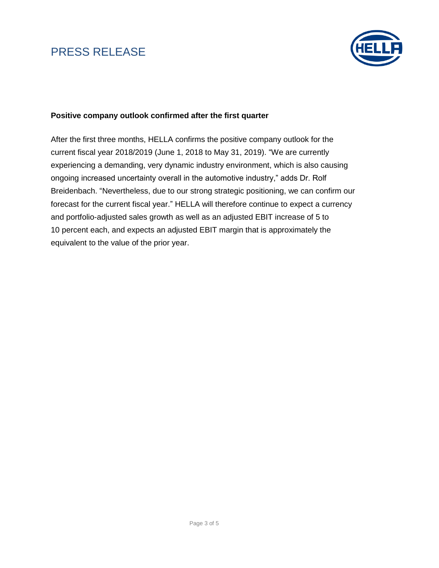

### **Positive company outlook confirmed after the first quarter**

After the first three months, HELLA confirms the positive company outlook for the current fiscal year 2018/2019 (June 1, 2018 to May 31, 2019). "We are currently experiencing a demanding, very dynamic industry environment, which is also causing ongoing increased uncertainty overall in the automotive industry," adds Dr. Rolf Breidenbach. "Nevertheless, due to our strong strategic positioning, we can confirm our forecast for the current fiscal year." HELLA will therefore continue to expect a currency and portfolio-adjusted sales growth as well as an adjusted EBIT increase of 5 to 10 percent each, and expects an adjusted EBIT margin that is approximately the equivalent to the value of the prior year.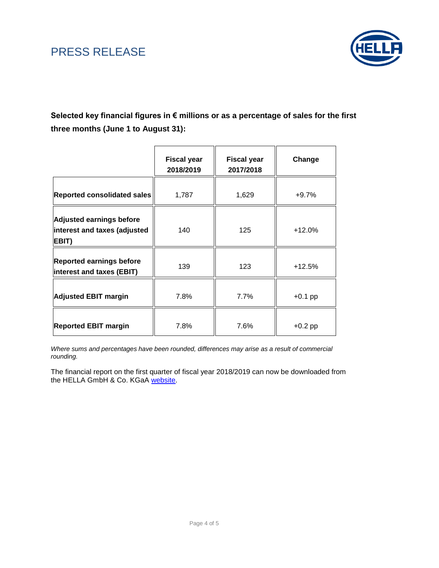

**Selected key financial figures in € millions or as a percentage of sales for the first three months (June 1 to August 31):**

|                                                                          | <b>Fiscal year</b><br>2018/2019 | <b>Fiscal year</b><br>2017/2018 | Change    |
|--------------------------------------------------------------------------|---------------------------------|---------------------------------|-----------|
| Reported consolidated sales                                              | 1,787                           | 1,629                           | $+9.7%$   |
| <b>Adjusted earnings before</b><br>interest and taxes (adjusted<br>EBIT) | 140                             | 125                             | $+12.0%$  |
| <b>Reported earnings before</b><br>interest and taxes (EBIT)             | 139                             | 123                             | $+12.5%$  |
| <b>Adjusted EBIT margin</b>                                              | 7.8%                            | 7.7%                            | $+0.1$ pp |
| <b>Reported EBIT margin</b>                                              | 7.8%                            | 7.6%                            | $+0.2$ pp |

*Where sums and percentages have been rounded, differences may arise as a result of commercial rounding.*

The financial report on the first quarter of fiscal year 2018/2019 can now be downloaded from the HELLA GmbH & Co. KGaA [website.](https://www.hella.com/hella-com/en/Quarterly-statements-and-reports-8741.html)